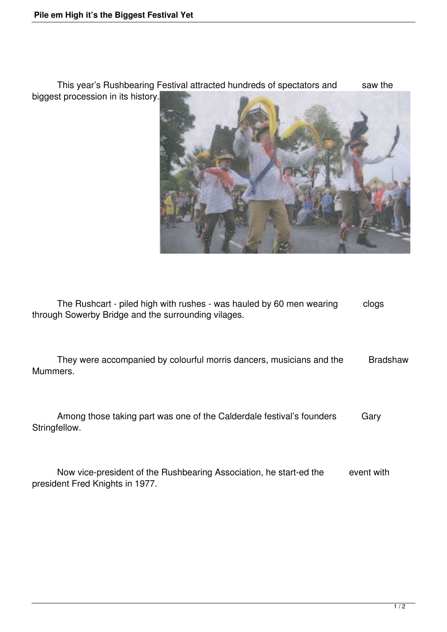This year's Rushbearing Festival attracted hundreds of spectators and saw the biggest procession in its history.



The Rushcart - piled high with rushes - was hauled by 60 men wearing clogs through Sowerby Bridge and the surrounding vilages.

They were accompanied by colourful morris dancers, musicians and the Bradshaw Mummers.

Among those taking part was one of the Calderdale festival's founders Gary Stringfellow.

Now vice-president of the Rushbearing Association, he start-ed the event with president Fred Knights in 1977.